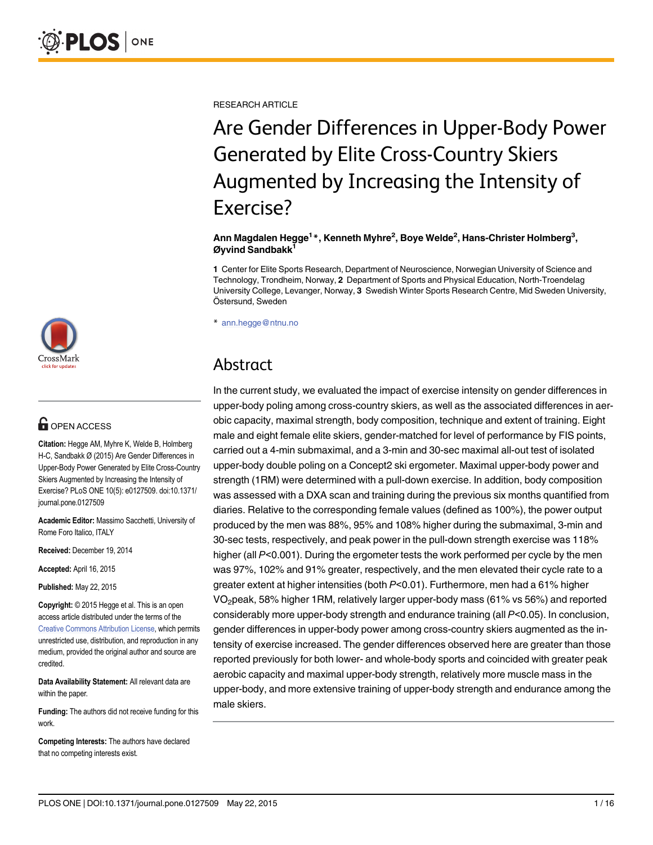RESEARCH ARTICLE

# Are Gender Differences in Upper-Body Power Generated by Elite Cross-Country Skiers Augmented by Increasing the Intensity of Exercise?

#### Ann Magdalen Hegge<sup>1</sup>\*, Kenneth Myhre<sup>2</sup>, Boye Welde<sup>2</sup>, Hans-Christer Holmberg<sup>3</sup>, Øyvind Sandbakk<sup>1</sup>

1 Center for Elite Sports Research, Department of Neuroscience, Norwegian University of Science and Technology, Trondheim, Norway, 2 Department of Sports and Physical Education, North-Troendelag University College, Levanger, Norway, 3 Swedish Winter Sports Research Centre, Mid Sweden University, Östersund, Sweden

\* ann.hegge@ntnu.no

# Abstract

In the current study, we evaluated the impact of exercise intensity on gender differences in upper-body poling among cross-country skiers, as well as the associated differences in aerobic capacity, maximal strength, body composition, technique and extent of training. Eight male and eight female elite skiers, gender-matched for level of performance by FIS points, carried out a 4-min submaximal, and a 3-min and 30-sec maximal all-out test of isolated upper-body double poling on a Concept2 ski ergometer. Maximal upper-body power and strength (1RM) were determined with a pull-down exercise. In addition, body composition was assessed with a DXA scan and training during the previous six months quantified from diaries. Relative to the corresponding female values (defined as 100%), the power output produced by the men was 88%, 95% and 108% higher during the submaximal, 3-min and 30-sec tests, respectively, and peak power in the pull-down strength exercise was 118% higher (all P<0.001). During the ergometer tests the work performed per cycle by the men was 97%, 102% and 91% greater, respectively, and the men elevated their cycle rate to a greater extent at higher intensities (both P<0.01). Furthermore, men had a 61% higher VO2peak, 58% higher 1RM, relatively larger upper-body mass (61% vs 56%) and reported considerably more upper-body strength and endurance training (all P<0.05). In conclusion, gender differences in upper-body power among cross-country skiers augmented as the intensity of exercise increased. The gender differences observed here are greater than those reported previously for both lower- and whole-body sports and coincided with greater peak aerobic capacity and maximal upper-body strength, relatively more muscle mass in the upper-body, and more extensive training of upper-body strength and endurance among the male skiers.



# **G** OPEN ACCESS

Citation: Hegge AM, Myhre K, Welde B, Holmberg H-C, Sandbakk Ø (2015) Are Gender Differences in Upper-Body Power Generated by Elite Cross-Country Skiers Augmented by Increasing the Intensity of Exercise? PLoS ONE 10(5): e0127509. doi:10.1371/ journal.pone.0127509

Academic Editor: Massimo Sacchetti, University of Rome Foro Italico, ITALY

Received: December 19, 2014

Accepted: April 16, 2015

Published: May 22, 2015

Copyright: © 2015 Hegge et al. This is an open access article distributed under the terms of the [Creative Commons Attribution License,](http://creativecommons.org/licenses/by/4.0/) which permits unrestricted use, distribution, and reproduction in any medium, provided the original author and source are credited.

Data Availability Statement: All relevant data are within the paper.

Funding: The authors did not receive funding for this work.

Competing Interests: The authors have declared that no competing interests exist.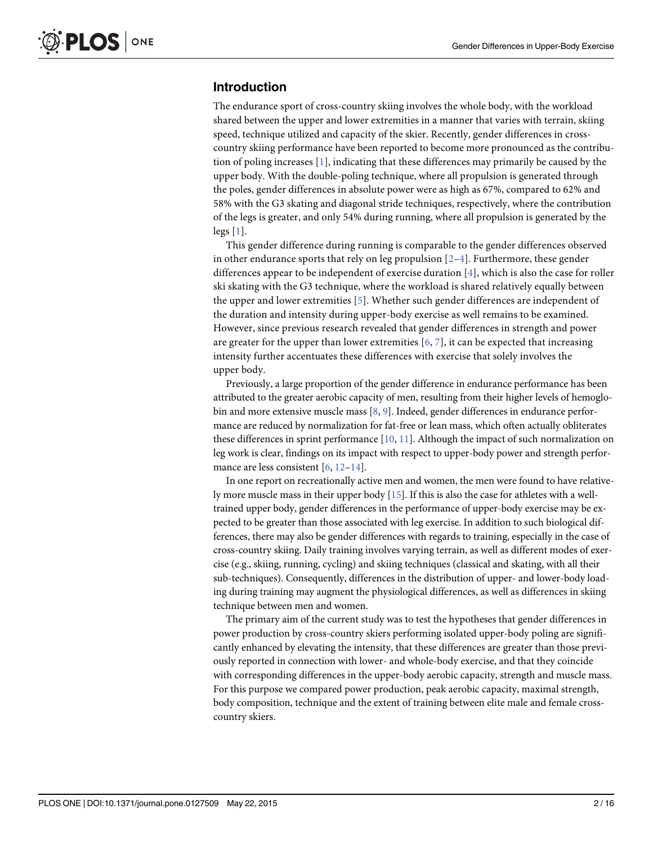# <span id="page-1-0"></span>Introduction

The endurance sport of cross-country skiing involves the whole body, with the workload shared between the upper and lower extremities in a manner that varies with terrain, skiing speed, technique utilized and capacity of the skier. Recently, gender differences in crosscountry skiing performance have been reported to become more pronounced as the contribution of poling increases  $[1]$  $[1]$ , indicating that these differences may primarily be caused by the upper body. With the double-poling technique, where all propulsion is generated through the poles, gender differences in absolute power were as high as 67%, compared to 62% and 58% with the G3 skating and diagonal stride techniques, respectively, where the contribution of the legs is greater, and only 54% during running, where all propulsion is generated by the legs [[1\]](#page-13-0).

This gender difference during running is comparable to the gender differences observed in other endurance sports that rely on leg propulsion  $[2-4]$  $[2-4]$  $[2-4]$  $[2-4]$ . Furthermore, these gender differences appear to be independent of exercise duration [[4\]](#page-13-0), which is also the case for roller ski skating with the G3 technique, where the workload is shared relatively equally between the upper and lower extremities [\[5](#page-13-0)]. Whether such gender differences are independent of the duration and intensity during upper-body exercise as well remains to be examined. However, since previous research revealed that gender differences in strength and power are greater for the upper than lower extremities [\[6](#page-14-0), [7\]](#page-14-0), it can be expected that increasing intensity further accentuates these differences with exercise that solely involves the upper body.

Previously, a large proportion of the gender difference in endurance performance has been attributed to the greater aerobic capacity of men, resulting from their higher levels of hemoglobin and more extensive muscle mass [[8,](#page-14-0) [9\]](#page-14-0). Indeed, gender differences in endurance performance are reduced by normalization for fat-free or lean mass, which often actually obliterates these differences in sprint performance  $[10, 11]$  $[10, 11]$  $[10, 11]$ . Although the impact of such normalization on leg work is clear, findings on its impact with respect to upper-body power and strength perfor-mance are less consistent [[6,](#page-14-0) [12](#page-14-0)–[14](#page-14-0)].

In one report on recreationally active men and women, the men were found to have relatively more muscle mass in their upper body  $[15]$  $[15]$  $[15]$ . If this is also the case for athletes with a welltrained upper body, gender differences in the performance of upper-body exercise may be expected to be greater than those associated with leg exercise. In addition to such biological differences, there may also be gender differences with regards to training, especially in the case of cross-country skiing. Daily training involves varying terrain, as well as different modes of exercise (e.g., skiing, running, cycling) and skiing techniques (classical and skating, with all their sub-techniques). Consequently, differences in the distribution of upper- and lower-body loading during training may augment the physiological differences, as well as differences in skiing technique between men and women.

The primary aim of the current study was to test the hypotheses that gender differences in power production by cross-country skiers performing isolated upper-body poling are significantly enhanced by elevating the intensity, that these differences are greater than those previously reported in connection with lower- and whole-body exercise, and that they coincide with corresponding differences in the upper-body aerobic capacity, strength and muscle mass. For this purpose we compared power production, peak aerobic capacity, maximal strength, body composition, technique and the extent of training between elite male and female crosscountry skiers.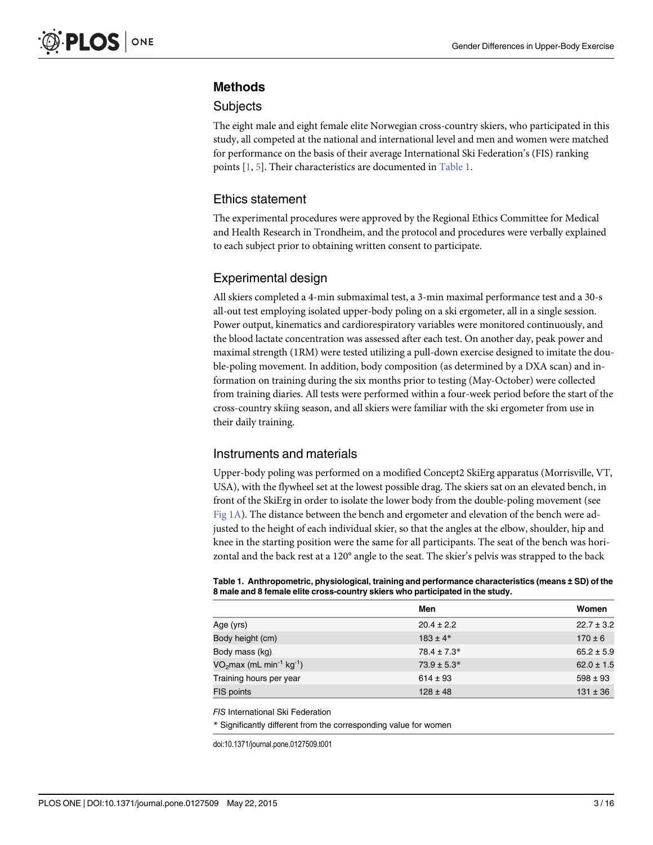### <span id="page-2-0"></span>Methods

#### **Subjects**

The eight male and eight female elite Norwegian cross-country skiers, who participated in this study, all competed at the national and international level and men and women were matched for performance on the basis of their average International Ski Federation's (FIS) ranking points  $[1, 5]$  $[1, 5]$  $[1, 5]$  $[1, 5]$ . Their characteristics are documented in Table 1.

### Ethics statement

The experimental procedures were approved by the Regional Ethics Committee for Medical and Health Research in Trondheim, and the protocol and procedures were verbally explained to each subject prior to obtaining written consent to participate.

### Experimental design

All skiers completed a 4-min submaximal test, a 3-min maximal performance test and a 30-s all-out test employing isolated upper-body poling on a ski ergometer, all in a single session. Power output, kinematics and cardiorespiratory variables were monitored continuously, and the blood lactate concentration was assessed after each test. On another day, peak power and maximal strength (1RM) were tested utilizing a pull-down exercise designed to imitate the double-poling movement. In addition, body composition (as determined by a DXA scan) and information on training during the six months prior to testing (May-October) were collected from training diaries. All tests were performed within a four-week period before the start of the cross-country skiing season, and all skiers were familiar with the ski ergometer from use in their daily training.

### Instruments and materials

Upper-body poling was performed on a modified Concept2 SkiErg apparatus (Morrisville, VT, USA), with the flywheel set at the lowest possible drag. The skiers sat on an elevated bench, in front of the SkiErg in order to isolate the lower body from the double-poling movement (see [Fig 1A](#page-3-0)). The distance between the bench and ergometer and elevation of the bench were adjusted to the height of each individual skier, so that the angles at the elbow, shoulder, hip and knee in the starting position were the same for all participants. The seat of the bench was horizontal and the back rest at a 120° angle to the seat. The skier's pelvis was strapped to the back

Table 1. Anthropometric, physiological, training and performance characteristics (means ± SD) of the 8 male and 8 female elite cross-country skiers who participated in the study.

|                          | Men             | Women          |
|--------------------------|-----------------|----------------|
| Age (yrs)                | $20.4 \pm 2.2$  | $22.7 \pm 3.2$ |
| Body height (cm)         | $183 \pm 4*$    | $170 \pm 6$    |
| Body mass (kg)           | $78.4 \pm 7.3*$ | $65.2 \pm 5.9$ |
| $VO2max (mL min-1 kg-1)$ | $73.9 \pm 5.3*$ | $62.0 \pm 1.5$ |
| Training hours per year  | $614 \pm 93$    | $598 \pm 93$   |
| FIS points               | $128 \pm 48$    | $131 \pm 36$   |

FIS International Ski Federation

\* Significantly different from the corresponding value for women

doi:10.1371/journal.pone.0127509.t001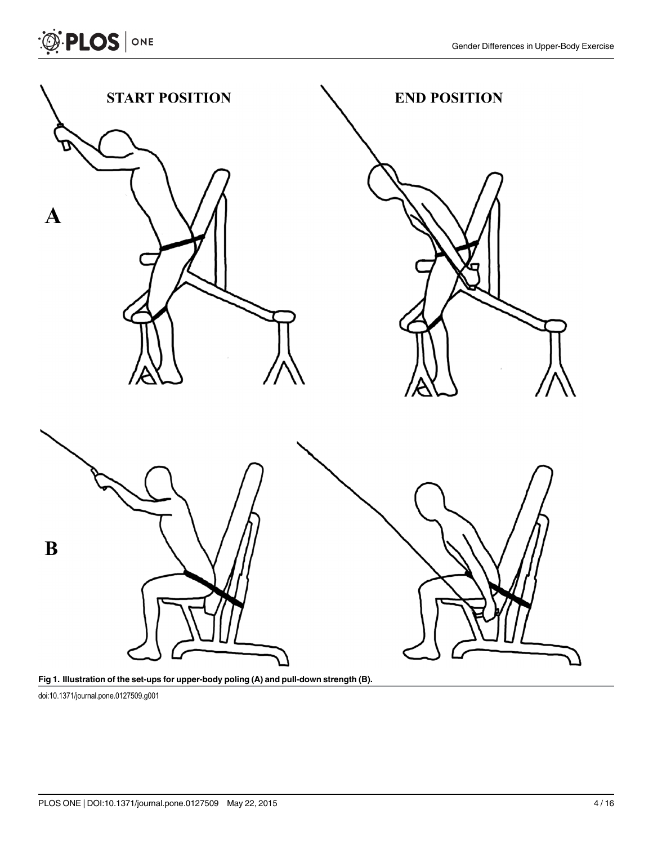



doi:10.1371/journal.pone.0127509.g001

<span id="page-3-0"></span>**OF PLOS** ONE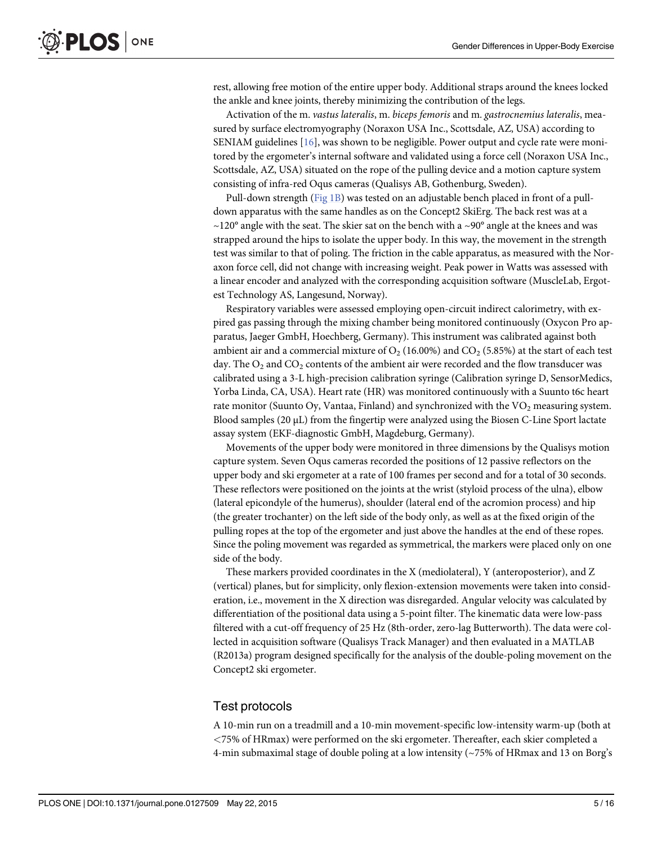<span id="page-4-0"></span>rest, allowing free motion of the entire upper body. Additional straps around the knees locked the ankle and knee joints, thereby minimizing the contribution of the legs.

Activation of the m. vastus lateralis, m. biceps femoris and m. gastrocnemius lateralis, measured by surface electromyography (Noraxon USA Inc., Scottsdale, AZ, USA) according to SENIAM guidelines [[16](#page-14-0)], was shown to be negligible. Power output and cycle rate were monitored by the ergometer's internal software and validated using a force cell (Noraxon USA Inc., Scottsdale, AZ, USA) situated on the rope of the pulling device and a motion capture system consisting of infra-red Oqus cameras (Qualisys AB, Gothenburg, Sweden).

Pull-down strength ([Fig 1B\)](#page-3-0) was tested on an adjustable bench placed in front of a pulldown apparatus with the same handles as on the Concept2 SkiErg. The back rest was at a  $\sim$ 120° angle with the seat. The skier sat on the bench with a  $\sim$ 90° angle at the knees and was strapped around the hips to isolate the upper body. In this way, the movement in the strength test was similar to that of poling. The friction in the cable apparatus, as measured with the Noraxon force cell, did not change with increasing weight. Peak power in Watts was assessed with a linear encoder and analyzed with the corresponding acquisition software (MuscleLab, Ergotest Technology AS, Langesund, Norway).

Respiratory variables were assessed employing open-circuit indirect calorimetry, with expired gas passing through the mixing chamber being monitored continuously (Oxycon Pro apparatus, Jaeger GmbH, Hoechberg, Germany). This instrument was calibrated against both ambient air and a commercial mixture of  $O_2$  (16.00%) and  $CO_2$  (5.85%) at the start of each test day. The  $O_2$  and  $CO_2$  contents of the ambient air were recorded and the flow transducer was calibrated using a 3-L high-precision calibration syringe (Calibration syringe D, SensorMedics, Yorba Linda, CA, USA). Heart rate (HR) was monitored continuously with a Suunto t6c heart rate monitor (Suunto Oy, Vantaa, Finland) and synchronized with the VO<sub>2</sub> measuring system. Blood samples (20 μL) from the fingertip were analyzed using the Biosen C-Line Sport lactate assay system (EKF-diagnostic GmbH, Magdeburg, Germany).

Movements of the upper body were monitored in three dimensions by the Qualisys motion capture system. Seven Oqus cameras recorded the positions of 12 passive reflectors on the upper body and ski ergometer at a rate of 100 frames per second and for a total of 30 seconds. These reflectors were positioned on the joints at the wrist (styloid process of the ulna), elbow (lateral epicondyle of the humerus), shoulder (lateral end of the acromion process) and hip (the greater trochanter) on the left side of the body only, as well as at the fixed origin of the pulling ropes at the top of the ergometer and just above the handles at the end of these ropes. Since the poling movement was regarded as symmetrical, the markers were placed only on one side of the body.

These markers provided coordinates in the X (mediolateral), Y (anteroposterior), and Z (vertical) planes, but for simplicity, only flexion-extension movements were taken into consideration, i.e., movement in the X direction was disregarded. Angular velocity was calculated by differentiation of the positional data using a 5-point filter. The kinematic data were low-pass filtered with a cut-off frequency of 25 Hz (8th-order, zero-lag Butterworth). The data were collected in acquisition software (Qualisys Track Manager) and then evaluated in a MATLAB (R2013a) program designed specifically for the analysis of the double-poling movement on the Concept2 ski ergometer.

#### Test protocols

A 10-min run on a treadmill and a 10-min movement-specific low-intensity warm-up (both at <75% of HRmax) were performed on the ski ergometer. Thereafter, each skier completed a 4-min submaximal stage of double poling at a low intensity (~75% of HRmax and 13 on Borg's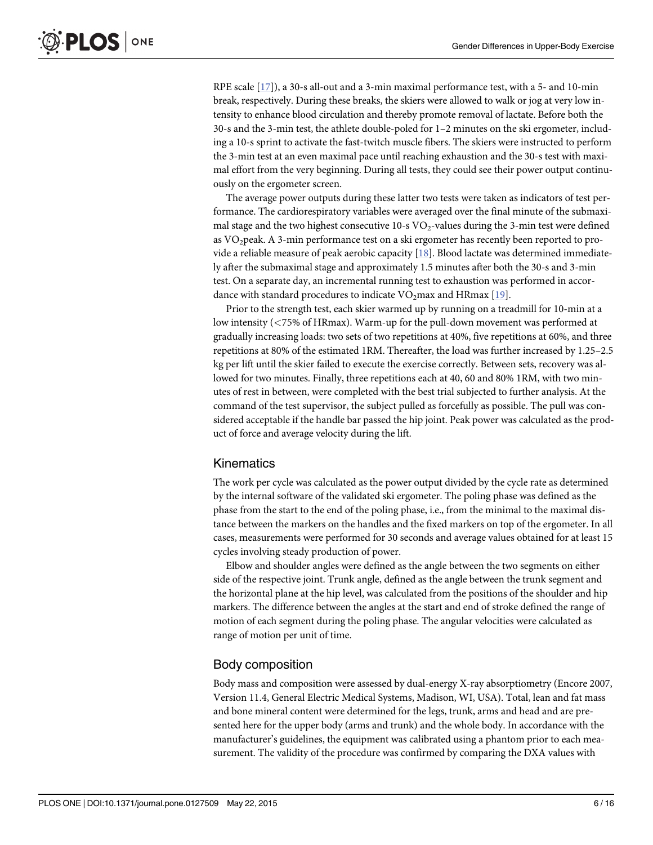<span id="page-5-0"></span>RPE scale [\[17\]](#page-14-0)), a 30-s all-out and a 3-min maximal performance test, with a 5- and 10-min break, respectively. During these breaks, the skiers were allowed to walk or jog at very low intensity to enhance blood circulation and thereby promote removal of lactate. Before both the 30-s and the 3-min test, the athlete double-poled for 1–2 minutes on the ski ergometer, including a 10-s sprint to activate the fast-twitch muscle fibers. The skiers were instructed to perform the 3-min test at an even maximal pace until reaching exhaustion and the 30-s test with maximal effort from the very beginning. During all tests, they could see their power output continuously on the ergometer screen.

The average power outputs during these latter two tests were taken as indicators of test performance. The cardiorespiratory variables were averaged over the final minute of the submaximal stage and the two highest consecutive  $10$ -s  $VO_2$ -values during the 3-min test were defined as VO2peak. A 3-min performance test on a ski ergometer has recently been reported to provide a reliable measure of peak aerobic capacity [\[18](#page-14-0)]. Blood lactate was determined immediately after the submaximal stage and approximately 1.5 minutes after both the 30-s and 3-min test. On a separate day, an incremental running test to exhaustion was performed in accordance with standard procedures to indicate  $VO<sub>2</sub>$ max and HRmax [\[19\]](#page-14-0).

Prior to the strength test, each skier warmed up by running on a treadmill for 10-min at a low intensity (<75% of HRmax). Warm-up for the pull-down movement was performed at gradually increasing loads: two sets of two repetitions at 40%, five repetitions at 60%, and three repetitions at 80% of the estimated 1RM. Thereafter, the load was further increased by 1.25–2.5 kg per lift until the skier failed to execute the exercise correctly. Between sets, recovery was allowed for two minutes. Finally, three repetitions each at 40, 60 and 80% 1RM, with two minutes of rest in between, were completed with the best trial subjected to further analysis. At the command of the test supervisor, the subject pulled as forcefully as possible. The pull was considered acceptable if the handle bar passed the hip joint. Peak power was calculated as the product of force and average velocity during the lift.

# **Kinematics**

The work per cycle was calculated as the power output divided by the cycle rate as determined by the internal software of the validated ski ergometer. The poling phase was defined as the phase from the start to the end of the poling phase, i.e., from the minimal to the maximal distance between the markers on the handles and the fixed markers on top of the ergometer. In all cases, measurements were performed for 30 seconds and average values obtained for at least 15 cycles involving steady production of power.

Elbow and shoulder angles were defined as the angle between the two segments on either side of the respective joint. Trunk angle, defined as the angle between the trunk segment and the horizontal plane at the hip level, was calculated from the positions of the shoulder and hip markers. The difference between the angles at the start and end of stroke defined the range of motion of each segment during the poling phase. The angular velocities were calculated as range of motion per unit of time.

### Body composition

Body mass and composition were assessed by dual-energy X-ray absorptiometry (Encore 2007, Version 11.4, General Electric Medical Systems, Madison, WI, USA). Total, lean and fat mass and bone mineral content were determined for the legs, trunk, arms and head and are presented here for the upper body (arms and trunk) and the whole body. In accordance with the manufacturer's guidelines, the equipment was calibrated using a phantom prior to each measurement. The validity of the procedure was confirmed by comparing the DXA values with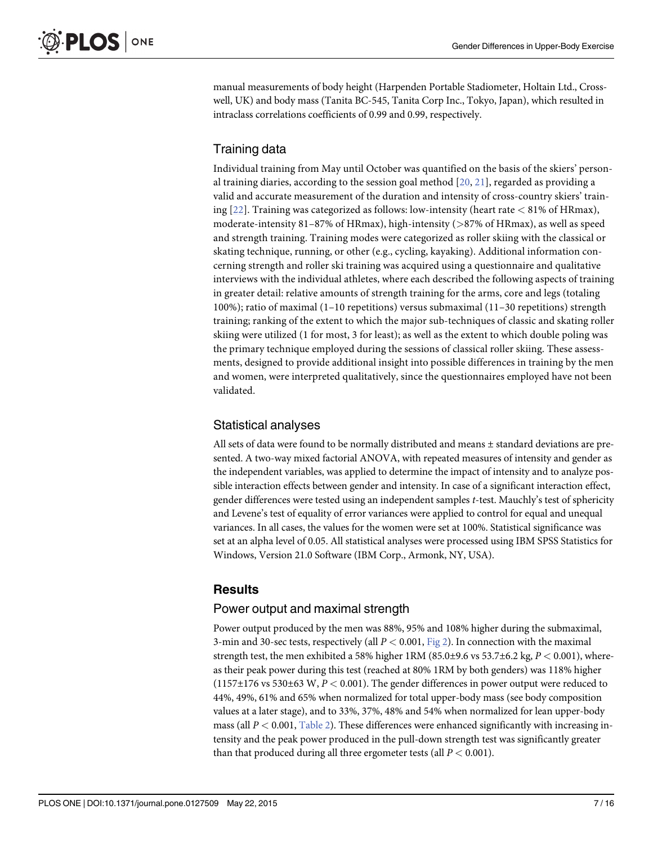<span id="page-6-0"></span>manual measurements of body height (Harpenden Portable Stadiometer, Holtain Ltd., Crosswell, UK) and body mass (Tanita BC-545, Tanita Corp Inc., Tokyo, Japan), which resulted in intraclass correlations coefficients of 0.99 and 0.99, respectively.

# Training data

Individual training from May until October was quantified on the basis of the skiers' personal training diaries, according to the session goal method  $[20, 21]$  $[20, 21]$  $[20, 21]$  $[20, 21]$  $[20, 21]$ , regarded as providing a valid and accurate measurement of the duration and intensity of cross-country skiers' training  $[22]$  $[22]$ . Training was categorized as follows: low-intensity (heart rate  $< 81\%$  of HRmax), moderate-intensity  $81-87\%$  of HRmax), high-intensity ( $>87\%$  of HRmax), as well as speed and strength training. Training modes were categorized as roller skiing with the classical or skating technique, running, or other (e.g., cycling, kayaking). Additional information concerning strength and roller ski training was acquired using a questionnaire and qualitative interviews with the individual athletes, where each described the following aspects of training in greater detail: relative amounts of strength training for the arms, core and legs (totaling 100%); ratio of maximal (1–10 repetitions) versus submaximal (11–30 repetitions) strength training; ranking of the extent to which the major sub-techniques of classic and skating roller skiing were utilized (1 for most, 3 for least); as well as the extent to which double poling was the primary technique employed during the sessions of classical roller skiing. These assessments, designed to provide additional insight into possible differences in training by the men and women, were interpreted qualitatively, since the questionnaires employed have not been validated.

# Statistical analyses

All sets of data were found to be normally distributed and means ± standard deviations are presented. A two-way mixed factorial ANOVA, with repeated measures of intensity and gender as the independent variables, was applied to determine the impact of intensity and to analyze possible interaction effects between gender and intensity. In case of a significant interaction effect, gender differences were tested using an independent samples t-test. Mauchly's test of sphericity and Levene's test of equality of error variances were applied to control for equal and unequal variances. In all cases, the values for the women were set at 100%. Statistical significance was set at an alpha level of 0.05. All statistical analyses were processed using IBM SPSS Statistics for Windows, Version 21.0 Software (IBM Corp., Armonk, NY, USA).

# **Results**

# Power output and maximal strength

Power output produced by the men was 88%, 95% and 108% higher during the submaximal, 3-min and 30-sec tests, respectively (all  $P < 0.001$ , [Fig 2\)](#page-7-0). In connection with the maximal strength test, the men exhibited a 58% higher 1RM  $(85.0\pm9.6 \text{ vs } 53.7\pm6.2 \text{ kg}, P < 0.001)$ , whereas their peak power during this test (reached at 80% 1RM by both genders) was 118% higher  $(1157\pm176 \text{ vs } 530\pm63 \text{ W}, P < 0.001)$ . The gender differences in power output were reduced to 44%, 49%, 61% and 65% when normalized for total upper-body mass (see body composition values at a later stage), and to 33%, 37%, 48% and 54% when normalized for lean upper-body mass (all  $P < 0.001$ , [Table 2\)](#page-8-0). These differences were enhanced significantly with increasing intensity and the peak power produced in the pull-down strength test was significantly greater than that produced during all three ergometer tests (all  $P < 0.001$ ).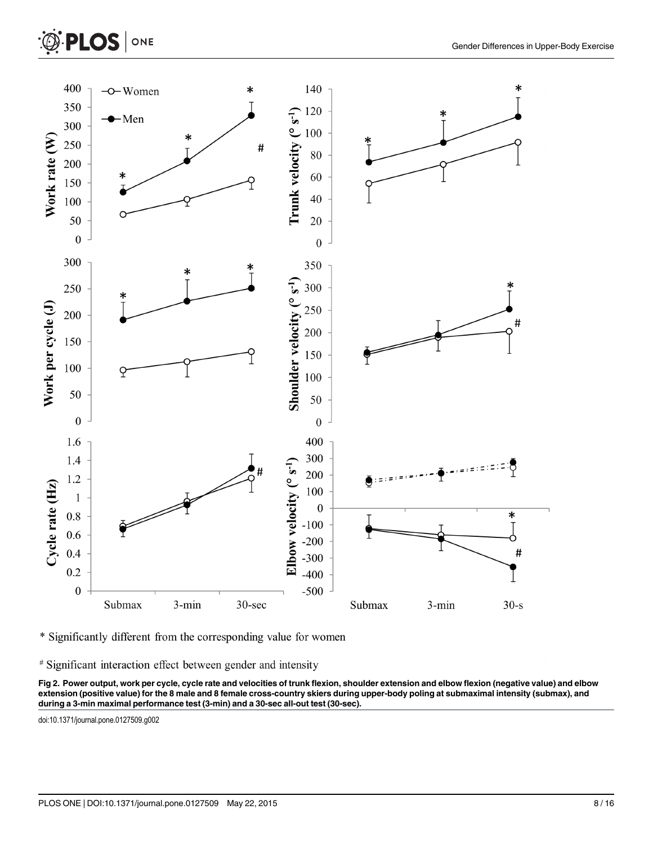<span id="page-7-0"></span>



\* Significantly different from the corresponding value for women

# Significant interaction effect between gender and intensity

[Fig 2. P](#page-6-0)ower output, work per cycle, cycle rate and velocities of trunk flexion, shoulder extension and elbow flexion (negative value) and elbow extension (positive value) for the 8 male and 8 female cross-country skiers during upper-body poling at submaximal intensity (submax), and during a 3-min maximal performance test (3-min) and a 30-sec all-out test (30-sec).

doi:10.1371/journal.pone.0127509.g002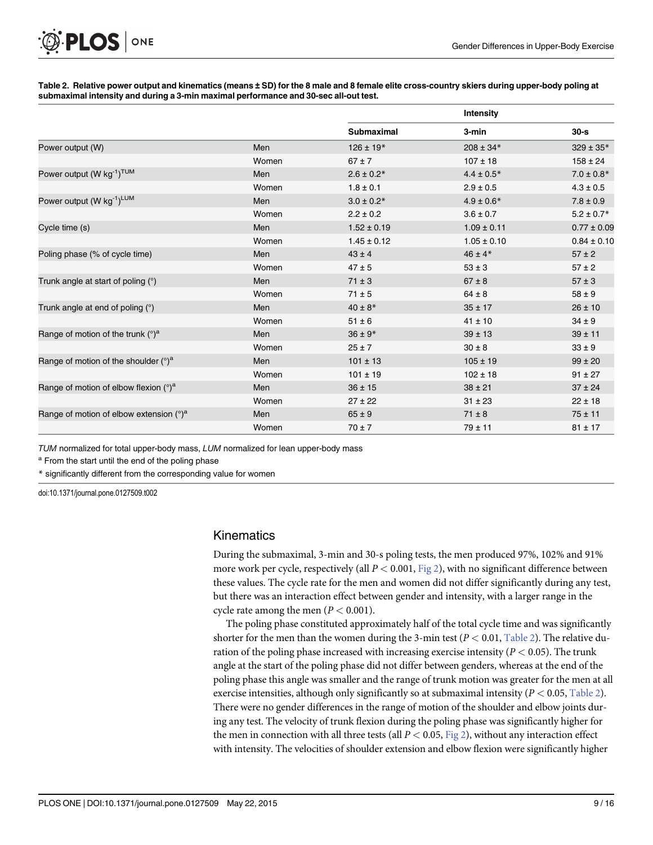# <span id="page-8-0"></span>ONE **PLOS I**

#### [Table 2.](#page-6-0) Relative power output and kinematics (means ± SD) for the 8 male and 8 female elite cross-country skiers during upper-body poling at submaximal intensity and during a 3-min maximal performance and 30-sec all-out test.

|                                                   |       |                   | Intensity       |                 |
|---------------------------------------------------|-------|-------------------|-----------------|-----------------|
|                                                   |       | <b>Submaximal</b> | 3-min           | $30 - s$        |
| Power output (W)                                  | Men   | $126 \pm 19*$     | $208 \pm 34*$   | $329 \pm 35*$   |
|                                                   | Women | $67 \pm 7$        | $107 \pm 18$    | $158 \pm 24$    |
| Power output (W kg <sup>-1</sup> ) <sup>TUM</sup> | Men   | $2.6 \pm 0.2*$    | $4.4 \pm 0.5*$  | $7.0 \pm 0.8*$  |
|                                                   | Women | $1.8 \pm 0.1$     | $2.9 \pm 0.5$   | $4.3 \pm 0.5$   |
| Power output (W kg <sup>-1</sup> ) <sup>LUM</sup> | Men   | $3.0 \pm 0.2*$    | $4.9 \pm 0.6*$  | $7.8 \pm 0.9$   |
|                                                   | Women | $2.2 \pm 0.2$     | $3.6 \pm 0.7$   | $5.2 \pm 0.7*$  |
| Cycle time (s)                                    | Men   | $1.52 \pm 0.19$   | $1.09 \pm 0.11$ | $0.77 \pm 0.09$ |
|                                                   | Women | $1.45 \pm 0.12$   | $1.05 \pm 0.10$ | $0.84 \pm 0.10$ |
| Poling phase (% of cycle time)                    | Men   | $43 \pm 4$        | $46 \pm 4*$     | $57 \pm 2$      |
|                                                   | Women | $47 \pm 5$        | $53 \pm 3$      | $57 \pm 2$      |
| Trunk angle at start of poling $(°)$              | Men   | $71 \pm 3$        | $67 \pm 8$      | $57 \pm 3$      |
|                                                   | Women | $71 \pm 5$        | $64 \pm 8$      | $58 \pm 9$      |
| Trunk angle at end of poling $(°)$                | Men   | $40 \pm 8*$       | $35 \pm 17$     | $26 \pm 10$     |
|                                                   | Women | $51 \pm 6$        | $41 \pm 10$     | $34 \pm 9$      |
| Range of motion of the trunk $(°)^a$              | Men   | $36 \pm 9*$       | $39 \pm 13$     | $39 \pm 11$     |
|                                                   | Women | $25 \pm 7$        | $30 \pm 8$      | $33 \pm 9$      |
| Range of motion of the shoulder $(°)^a$           | Men   | $101 \pm 13$      | $105 \pm 19$    | $99 \pm 20$     |
|                                                   | Women | $101 \pm 19$      | $102 \pm 18$    | $91 \pm 27$     |
| Range of motion of elbow flexion $(°)^a$          | Men   | $36 \pm 15$       | $38 \pm 21$     | $37 \pm 24$     |
|                                                   | Women | $27 \pm 22$       | $31 \pm 23$     | $22 \pm 18$     |
| Range of motion of elbow extension $(°)^a$        | Men   | $65 \pm 9$        | $71 \pm 8$      | $75 \pm 11$     |
|                                                   | Women | $70 \pm 7$        | $79 \pm 11$     | $81 \pm 17$     |

TUM normalized for total upper-body mass, LUM normalized for lean upper-body mass

<sup>a</sup> From the start until the end of the poling phase

\* significantly different from the corresponding value for women

doi:10.1371/journal.pone.0127509.t002

### Kinematics

During the submaximal, 3-min and 30-s poling tests, the men produced 97%, 102% and 91% more work per cycle, respectively (all  $P < 0.001$ , [Fig 2](#page-7-0)), with no significant difference between these values. The cycle rate for the men and women did not differ significantly during any test, but there was an interaction effect between gender and intensity, with a larger range in the cycle rate among the men ( $P < 0.001$ ).

The poling phase constituted approximately half of the total cycle time and was significantly shorter for the men than the women during the 3-min test ( $P < 0.01$ , Table 2). The relative duration of the poling phase increased with increasing exercise intensity ( $P < 0.05$ ). The trunk angle at the start of the poling phase did not differ between genders, whereas at the end of the poling phase this angle was smaller and the range of trunk motion was greater for the men at all exercise intensities, although only significantly so at submaximal intensity  $(P < 0.05,$  Table 2). There were no gender differences in the range of motion of the shoulder and elbow joints during any test. The velocity of trunk flexion during the poling phase was significantly higher for the men in connection with all three tests (all  $P < 0.05$ , [Fig 2\)](#page-7-0), without any interaction effect with intensity. The velocities of shoulder extension and elbow flexion were significantly higher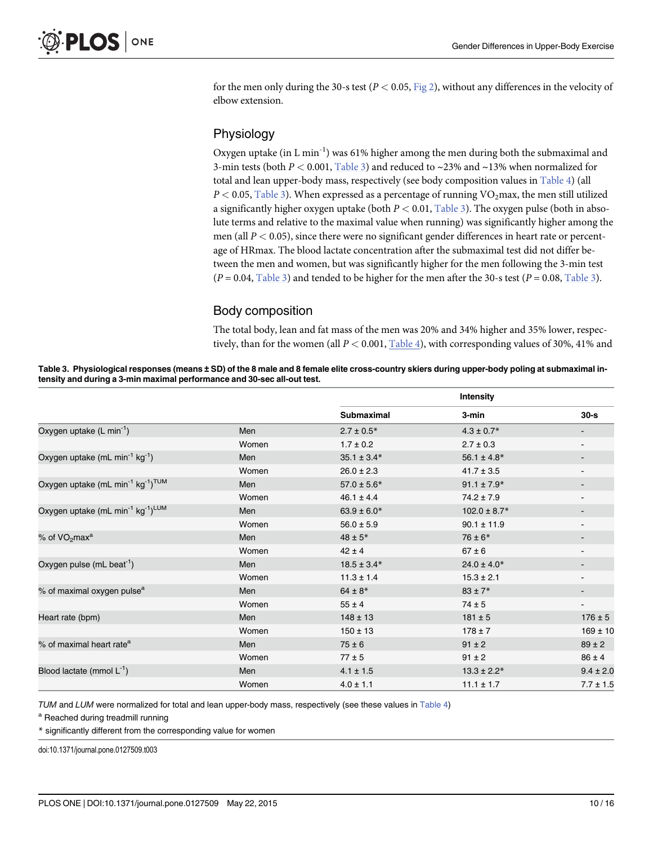<span id="page-9-0"></span>for the men only during the 30-s test ( $P < 0.05$ ,  $Fig 2$ ), without any differences in the velocity of elbow extension.

### Physiology

Oxygen uptake (in L min<sup>-1</sup>) was 61% higher among the men during both the submaximal and 3-min tests (both  $P < 0.001$ , Table 3) and reduced to  $\sim$ 23% and  $\sim$ 13% when normalized for total and lean upper-body mass, respectively (see body composition values in [Table 4\)](#page-10-0) (all  $P < 0.05$ , Table 3). When expressed as a percentage of running  $\rm VO_2max$ , the men still utilized a significantly higher oxygen uptake (both  $P < 0.01$ , Table 3). The oxygen pulse (both in absolute terms and relative to the maximal value when running) was significantly higher among the men (all  $P < 0.05$ ), since there were no significant gender differences in heart rate or percentage of HRmax. The blood lactate concentration after the submaximal test did not differ between the men and women, but was significantly higher for the men following the 3-min test  $(P = 0.04,$  Table 3) and tended to be higher for the men after the 30-s test  $(P = 0.08,$  Table 3).

# Body composition

The total body, lean and fat mass of the men was 20% and 34% higher and 35% lower, respectively, than for the women (all  $P < 0.001$ , [Table 4](#page-10-0)), with corresponding values of 30%, 41% and

Table 3. Physiological responses (means ± SD) of the 8 male and 8 female elite cross-country skiers during upper-body poling at submaximal intensity and during a 3-min maximal performance and 30-sec all-out test.

|                                                                       |       | Intensity         |                  |                          |
|-----------------------------------------------------------------------|-------|-------------------|------------------|--------------------------|
|                                                                       |       | <b>Submaximal</b> | 3-min            | $30 - s$                 |
| Oxygen uptake (L min <sup>-1</sup> )                                  | Men   | $2.7 \pm 0.5*$    | $4.3 \pm 0.7$ *  |                          |
|                                                                       | Women | $1.7 \pm 0.2$     | $2.7 \pm 0.3$    |                          |
| Oxygen uptake (mL min <sup>-1</sup> kg <sup>-1</sup> )                | Men   | $35.1 \pm 3.4*$   | $56.1 \pm 4.8*$  |                          |
|                                                                       | Women | $26.0 \pm 2.3$    | $41.7 \pm 3.5$   | $\overline{\phantom{a}}$ |
| Oxygen uptake (mL min <sup>-1</sup> kg <sup>-1</sup> ) <sup>TUM</sup> | Men   | $57.0 \pm 5.6*$   | $91.1 \pm 7.9*$  |                          |
|                                                                       | Women | $46.1 \pm 4.4$    | $74.2 \pm 7.9$   |                          |
| Oxygen uptake (mL min <sup>-1</sup> kg <sup>-1</sup> ) <sup>LUM</sup> | Men   | $63.9 \pm 6.0*$   | $102.0 \pm 8.7*$ | $\overline{\phantom{a}}$ |
|                                                                       | Women | $56.0 \pm 5.9$    | $90.1 \pm 11.9$  |                          |
| % of VO <sub>2</sub> max <sup>a</sup>                                 | Men   | $48 \pm 5*$       | $76 \pm 6*$      |                          |
|                                                                       | Women | $42 \pm 4$        | $67 \pm 6$       | $\overline{\phantom{a}}$ |
| Oxygen pulse (mL beat <sup>-1</sup> )                                 | Men   | $18.5 \pm 3.4*$   | $24.0 \pm 4.0*$  |                          |
|                                                                       | Women | $11.3 \pm 1.4$    | $15.3 \pm 2.1$   |                          |
| % of maximal oxygen pulse <sup>a</sup>                                | Men   | $64 \pm 8*$       | $83 \pm 7*$      |                          |
|                                                                       | Women | $55 \pm 4$        | $74 \pm 5$       |                          |
| Heart rate (bpm)                                                      | Men   | $148 \pm 13$      | $181 \pm 5$      | $176 \pm 5$              |
|                                                                       | Women | $150 \pm 13$      | $178 \pm 7$      | $169 \pm 10$             |
| % of maximal heart rate <sup>a</sup>                                  | Men   | $75 \pm 6$        | $91 \pm 2$       | $89 \pm 2$               |
|                                                                       | Women | $77 \pm 5$        | $91 \pm 2$       | $86 \pm 4$               |
| Blood lactate (mmol $L^{-1}$ )                                        | Men   | $4.1 \pm 1.5$     | $13.3 \pm 2.2*$  | $9.4 \pm 2.0$            |
|                                                                       | Women | $4.0 \pm 1.1$     | $11.1 \pm 1.7$   | $7.7 \pm 1.5$            |

TUM and LUM were normalized for total and lean upper-body mass, respectively (see these values in [Table 4](#page-10-0))

a Reached during treadmill running

\* significantly different from the corresponding value for women

doi:10.1371/journal.pone.0127509.t003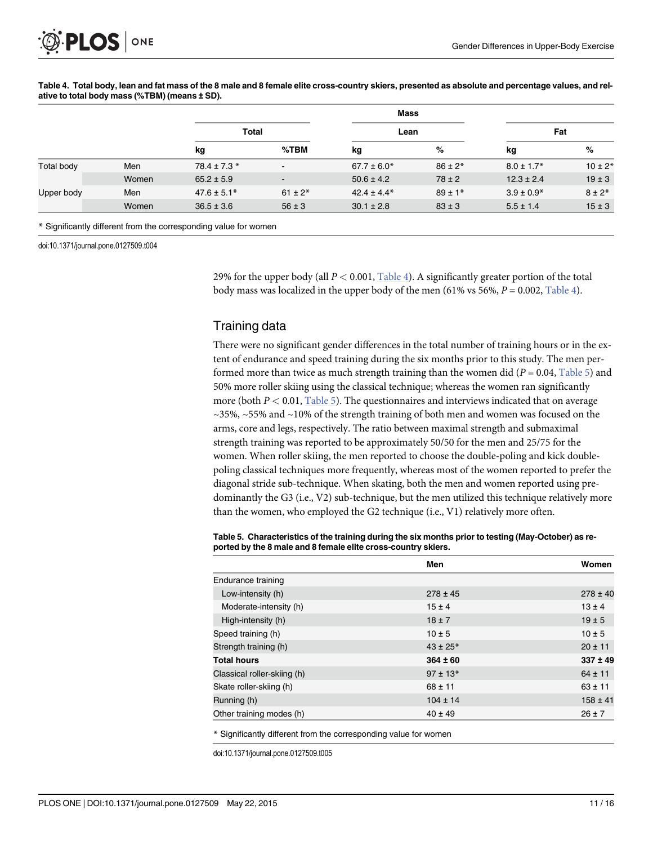|                   |       |                  |             | <b>Mass</b>     |             |                 |             |
|-------------------|-------|------------------|-------------|-----------------|-------------|-----------------|-------------|
|                   |       | Total            |             | Lean            |             | Fat             |             |
|                   |       | kg               | %TBM        | kg              | %           | kg              | %           |
| <b>Total body</b> | Men   | $78.4 \pm 7.3$ * | $\sim$      | $67.7 \pm 6.0*$ | $86 \pm 2*$ | $8.0 \pm 1.7$ * | $10 \pm 2*$ |
|                   | Women | $65.2 \pm 5.9$   | $\sim$      | $50.6 \pm 4.2$  | $78 \pm 2$  | $12.3 \pm 2.4$  | $19 \pm 3$  |
| Upper body        | Men   | $47.6 \pm 5.1*$  | $61 \pm 2*$ | $42.4 \pm 4.4*$ | $89 \pm 1*$ | $3.9 \pm 0.9*$  | $8 \pm 2*$  |
|                   | Women | $36.5 \pm 3.6$   | $56 \pm 3$  | $30.1 \pm 2.8$  | $83 \pm 3$  | $5.5 \pm 1.4$   | $15 \pm 3$  |

<span id="page-10-0"></span>[Table 4.](#page-9-0) Total body, lean and fat mass of the 8 male and 8 female elite cross-country skiers, presented as absolute and percentage values, and relative to total body mass (%TBM) (means ± SD).

\* Significantly different from the corresponding value for women

doi:10.1371/journal.pone.0127509.t004

29% for the upper body (all  $P < 0.001$ , Table 4). A significantly greater portion of the total body mass was localized in the upper body of the men (61% vs 56%,  $P = 0.002$ , Table 4).

### Training data

There were no significant gender differences in the total number of training hours or in the extent of endurance and speed training during the six months prior to this study. The men performed more than twice as much strength training than the women did ( $P = 0.04$ , Table 5) and 50% more roller skiing using the classical technique; whereas the women ran significantly more (both  $P < 0.01$ , Table 5). The questionnaires and interviews indicated that on average  $\sim$ 35%,  $\sim$ 55% and  $\sim$ 10% of the strength training of both men and women was focused on the arms, core and legs, respectively. The ratio between maximal strength and submaximal strength training was reported to be approximately 50/50 for the men and 25/75 for the women. When roller skiing, the men reported to choose the double-poling and kick doublepoling classical techniques more frequently, whereas most of the women reported to prefer the diagonal stride sub-technique. When skating, both the men and women reported using predominantly the G3 (i.e., V2) sub-technique, but the men utilized this technique relatively more than the women, who employed the G2 technique (i.e., V1) relatively more often.

Table 5. Characteristics of the training during the six months prior to testing (May-October) as reported by the 8 male and 8 female elite cross-country skiers.

|                             | Men           | Women        |
|-----------------------------|---------------|--------------|
| Endurance training          |               |              |
| Low-intensity (h)           | $278 \pm 45$  | $278 \pm 40$ |
| Moderate-intensity (h)      | $15 \pm 4$    | $13 \pm 4$   |
| High-intensity (h)          | $18 \pm 7$    | $19 \pm 5$   |
| Speed training (h)          | $10 \pm 5$    | $10 \pm 5$   |
| Strength training (h)       | $43 \pm 25$ * | $20 \pm 11$  |
| <b>Total hours</b>          | $364 \pm 60$  | $337 \pm 49$ |
| Classical roller-skiing (h) | $97 \pm 13*$  | $64 \pm 11$  |
| Skate roller-skiing (h)     | $68 \pm 11$   | $63 \pm 11$  |
| Running (h)                 | $104 \pm 14$  | $158 \pm 41$ |
| Other training modes (h)    | $40 \pm 49$   | $26 \pm 7$   |

\* Significantly different from the corresponding value for women

doi:10.1371/journal.pone.0127509.t005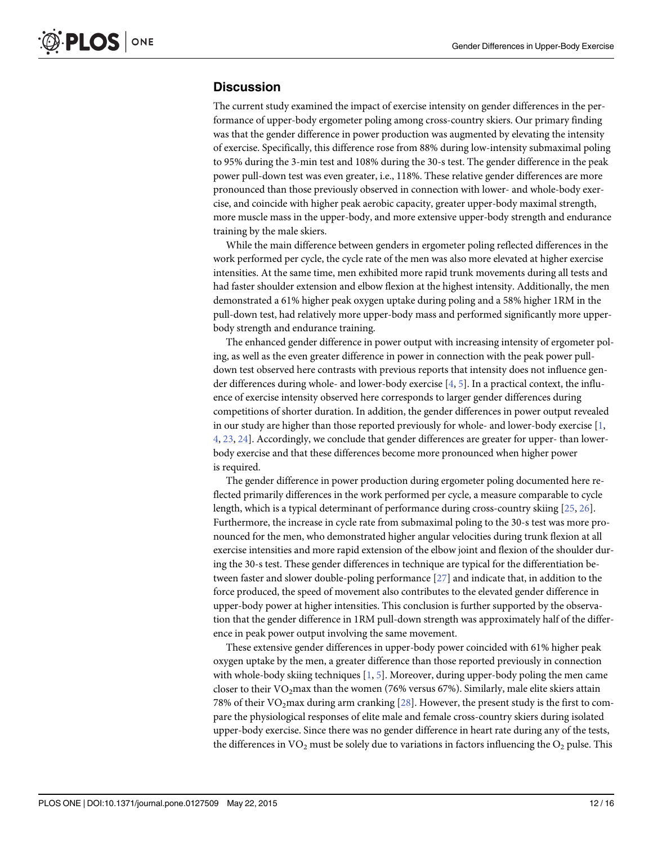# <span id="page-11-0"></span>**Discussion**

The current study examined the impact of exercise intensity on gender differences in the performance of upper-body ergometer poling among cross-country skiers. Our primary finding was that the gender difference in power production was augmented by elevating the intensity of exercise. Specifically, this difference rose from 88% during low-intensity submaximal poling to 95% during the 3-min test and 108% during the 30-s test. The gender difference in the peak power pull-down test was even greater, i.e., 118%. These relative gender differences are more pronounced than those previously observed in connection with lower- and whole-body exercise, and coincide with higher peak aerobic capacity, greater upper-body maximal strength, more muscle mass in the upper-body, and more extensive upper-body strength and endurance training by the male skiers.

While the main difference between genders in ergometer poling reflected differences in the work performed per cycle, the cycle rate of the men was also more elevated at higher exercise intensities. At the same time, men exhibited more rapid trunk movements during all tests and had faster shoulder extension and elbow flexion at the highest intensity. Additionally, the men demonstrated a 61% higher peak oxygen uptake during poling and a 58% higher 1RM in the pull-down test, had relatively more upper-body mass and performed significantly more upperbody strength and endurance training.

The enhanced gender difference in power output with increasing intensity of ergometer poling, as well as the even greater difference in power in connection with the peak power pulldown test observed here contrasts with previous reports that intensity does not influence gender differences during whole- and lower-body exercise [[4](#page-13-0), [5\]](#page-13-0). In a practical context, the influence of exercise intensity observed here corresponds to larger gender differences during competitions of shorter duration. In addition, the gender differences in power output revealed in our study are higher than those reported previously for whole- and lower-body exercise [[1,](#page-13-0) [4,](#page-13-0) [23,](#page-14-0) [24\]](#page-14-0). Accordingly, we conclude that gender differences are greater for upper- than lowerbody exercise and that these differences become more pronounced when higher power is required.

The gender difference in power production during ergometer poling documented here reflected primarily differences in the work performed per cycle, a measure comparable to cycle length, which is a typical determinant of performance during cross-country skiing [\[25,](#page-14-0) [26\]](#page-14-0). Furthermore, the increase in cycle rate from submaximal poling to the 30-s test was more pronounced for the men, who demonstrated higher angular velocities during trunk flexion at all exercise intensities and more rapid extension of the elbow joint and flexion of the shoulder during the 30-s test. These gender differences in technique are typical for the differentiation between faster and slower double-poling performance [[27](#page-15-0)] and indicate that, in addition to the force produced, the speed of movement also contributes to the elevated gender difference in upper-body power at higher intensities. This conclusion is further supported by the observation that the gender difference in 1RM pull-down strength was approximately half of the difference in peak power output involving the same movement.

These extensive gender differences in upper-body power coincided with 61% higher peak oxygen uptake by the men, a greater difference than those reported previously in connection with whole-body skiing techniques  $[1, 5]$  $[1, 5]$  $[1, 5]$  $[1, 5]$ . Moreover, during upper-body poling the men came closer to their VO<sub>2</sub>max than the women (76% versus 67%). Similarly, male elite skiers attain 78% of their VO<sub>2</sub>max during arm cranking  $[28]$  $[28]$  $[28]$ . However, the present study is the first to compare the physiological responses of elite male and female cross-country skiers during isolated upper-body exercise. Since there was no gender difference in heart rate during any of the tests, the differences in  $VO<sub>2</sub>$  must be solely due to variations in factors influencing the  $O<sub>2</sub>$  pulse. This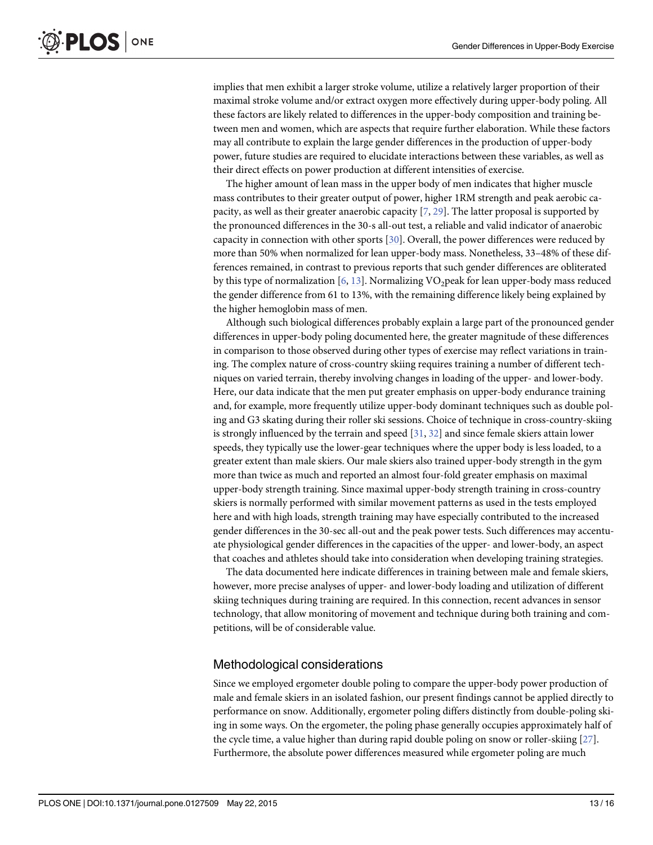<span id="page-12-0"></span>implies that men exhibit a larger stroke volume, utilize a relatively larger proportion of their maximal stroke volume and/or extract oxygen more effectively during upper-body poling. All these factors are likely related to differences in the upper-body composition and training between men and women, which are aspects that require further elaboration. While these factors may all contribute to explain the large gender differences in the production of upper-body power, future studies are required to elucidate interactions between these variables, as well as their direct effects on power production at different intensities of exercise.

The higher amount of lean mass in the upper body of men indicates that higher muscle mass contributes to their greater output of power, higher 1RM strength and peak aerobic capacity, as well as their greater anaerobic capacity  $[7, 29]$  $[7, 29]$  $[7, 29]$  $[7, 29]$ . The latter proposal is supported by the pronounced differences in the 30-s all-out test, a reliable and valid indicator of anaerobic capacity in connection with other sports  $[30]$  $[30]$  $[30]$ . Overall, the power differences were reduced by more than 50% when normalized for lean upper-body mass. Nonetheless, 33–48% of these differences remained, in contrast to previous reports that such gender differences are obliterated by this type of normalization [[6,](#page-14-0) [13\]](#page-14-0). Normalizing VO<sub>2</sub>peak for lean upper-body mass reduced the gender difference from 61 to 13%, with the remaining difference likely being explained by the higher hemoglobin mass of men.

Although such biological differences probably explain a large part of the pronounced gender differences in upper-body poling documented here, the greater magnitude of these differences in comparison to those observed during other types of exercise may reflect variations in training. The complex nature of cross-country skiing requires training a number of different techniques on varied terrain, thereby involving changes in loading of the upper- and lower-body. Here, our data indicate that the men put greater emphasis on upper-body endurance training and, for example, more frequently utilize upper-body dominant techniques such as double poling and G3 skating during their roller ski sessions. Choice of technique in cross-country-skiing is strongly influenced by the terrain and speed  $[31, 32]$  $[31, 32]$  $[31, 32]$  $[31, 32]$  and since female skiers attain lower speeds, they typically use the lower-gear techniques where the upper body is less loaded, to a greater extent than male skiers. Our male skiers also trained upper-body strength in the gym more than twice as much and reported an almost four-fold greater emphasis on maximal upper-body strength training. Since maximal upper-body strength training in cross-country skiers is normally performed with similar movement patterns as used in the tests employed here and with high loads, strength training may have especially contributed to the increased gender differences in the 30-sec all-out and the peak power tests. Such differences may accentuate physiological gender differences in the capacities of the upper- and lower-body, an aspect that coaches and athletes should take into consideration when developing training strategies.

The data documented here indicate differences in training between male and female skiers, however, more precise analyses of upper- and lower-body loading and utilization of different skiing techniques during training are required. In this connection, recent advances in sensor technology, that allow monitoring of movement and technique during both training and competitions, will be of considerable value.

### Methodological considerations

Since we employed ergometer double poling to compare the upper-body power production of male and female skiers in an isolated fashion, our present findings cannot be applied directly to performance on snow. Additionally, ergometer poling differs distinctly from double-poling skiing in some ways. On the ergometer, the poling phase generally occupies approximately half of the cycle time, a value higher than during rapid double poling on snow or roller-skiing  $[27]$  $[27]$  $[27]$ . Furthermore, the absolute power differences measured while ergometer poling are much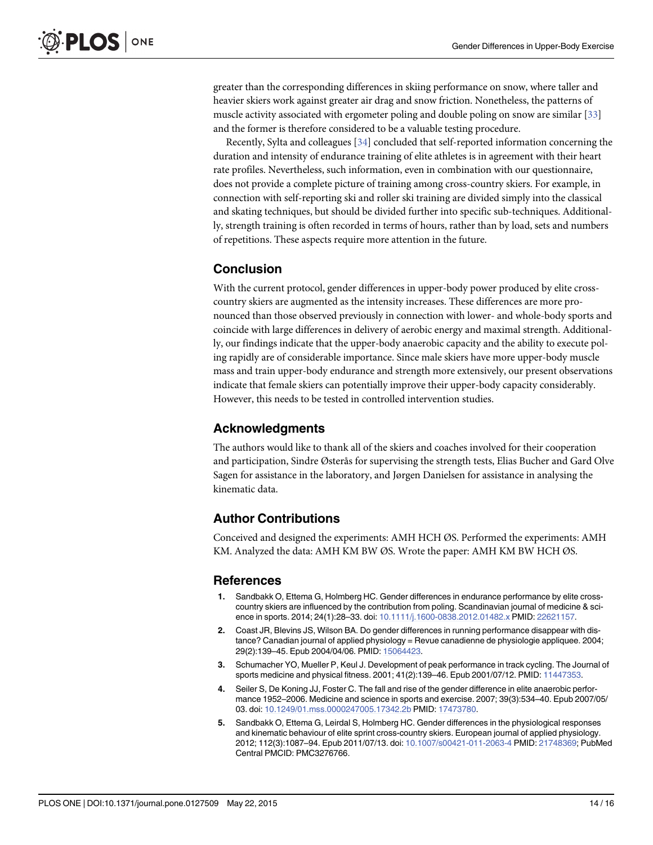<span id="page-13-0"></span>greater than the corresponding differences in skiing performance on snow, where taller and heavier skiers work against greater air drag and snow friction. Nonetheless, the patterns of muscle activity associated with ergometer poling and double poling on snow are similar [\[33\]](#page-15-0) and the former is therefore considered to be a valuable testing procedure.

Recently, Sylta and colleagues [\[34\]](#page-15-0) concluded that self-reported information concerning the duration and intensity of endurance training of elite athletes is in agreement with their heart rate profiles. Nevertheless, such information, even in combination with our questionnaire, does not provide a complete picture of training among cross-country skiers. For example, in connection with self-reporting ski and roller ski training are divided simply into the classical and skating techniques, but should be divided further into specific sub-techniques. Additionally, strength training is often recorded in terms of hours, rather than by load, sets and numbers of repetitions. These aspects require more attention in the future.

# Conclusion

With the current protocol, gender differences in upper-body power produced by elite crosscountry skiers are augmented as the intensity increases. These differences are more pronounced than those observed previously in connection with lower- and whole-body sports and coincide with large differences in delivery of aerobic energy and maximal strength. Additionally, our findings indicate that the upper-body anaerobic capacity and the ability to execute poling rapidly are of considerable importance. Since male skiers have more upper-body muscle mass and train upper-body endurance and strength more extensively, our present observations indicate that female skiers can potentially improve their upper-body capacity considerably. However, this needs to be tested in controlled intervention studies.

# Acknowledgments

The authors would like to thank all of the skiers and coaches involved for their cooperation and participation, Sindre Østerås for supervising the strength tests, Elias Bucher and Gard Olve Sagen for assistance in the laboratory, and Jørgen Danielsen for assistance in analysing the kinematic data.

# Author Contributions

Conceived and designed the experiments: AMH HCH ØS. Performed the experiments: AMH KM. Analyzed the data: AMH KM BW ØS. Wrote the paper: AMH KM BW HCH ØS.

### References

- [1.](#page-1-0) Sandbakk O, Ettema G, Holmberg HC. Gender differences in endurance performance by elite crosscountry skiers are influenced by the contribution from poling. Scandinavian journal of medicine & sci-ence in sports. 2014; 24(1):28-33. doi: [10.1111/j.1600-0838.2012.01482.x](http://dx.doi.org/10.1111/j.1600-0838.2012.01482.x) PMID: [22621157.](http://www.ncbi.nlm.nih.gov/pubmed/22621157)
- [2.](#page-1-0) Coast JR, Blevins JS, Wilson BA. Do gender differences in running performance disappear with distance? Canadian journal of applied physiology = Revue canadienne de physiologie appliquee. 2004; 29(2):139–45. Epub 2004/04/06. PMID: [15064423.](http://www.ncbi.nlm.nih.gov/pubmed/15064423)
- 3. Schumacher YO, Mueller P, Keul J. Development of peak performance in track cycling. The Journal of sports medicine and physical fitness. 2001; 41(2):139–46. Epub 2001/07/12. PMID: [11447353.](http://www.ncbi.nlm.nih.gov/pubmed/11447353)
- [4.](#page-1-0) Seiler S, De Koning JJ, Foster C. The fall and rise of the gender difference in elite anaerobic performance 1952–2006. Medicine and science in sports and exercise. 2007; 39(3):534–40. Epub 2007/05/ 03. doi: [10.1249/01.mss.0000247005.17342.2b](http://dx.doi.org/10.1249/01.mss.0000247005.17342.2b) PMID: [17473780](http://www.ncbi.nlm.nih.gov/pubmed/17473780).
- [5.](#page-1-0) Sandbakk O, Ettema G, Leirdal S, Holmberg HC. Gender differences in the physiological responses and kinematic behaviour of elite sprint cross-country skiers. European journal of applied physiology. 2012; 112(3):1087–94. Epub 2011/07/13. doi: [10.1007/s00421-011-2063-4](http://dx.doi.org/10.1007/s00421-011-2063-4) PMID: [21748369;](http://www.ncbi.nlm.nih.gov/pubmed/21748369) PubMed Central PMCID: PMC3276766.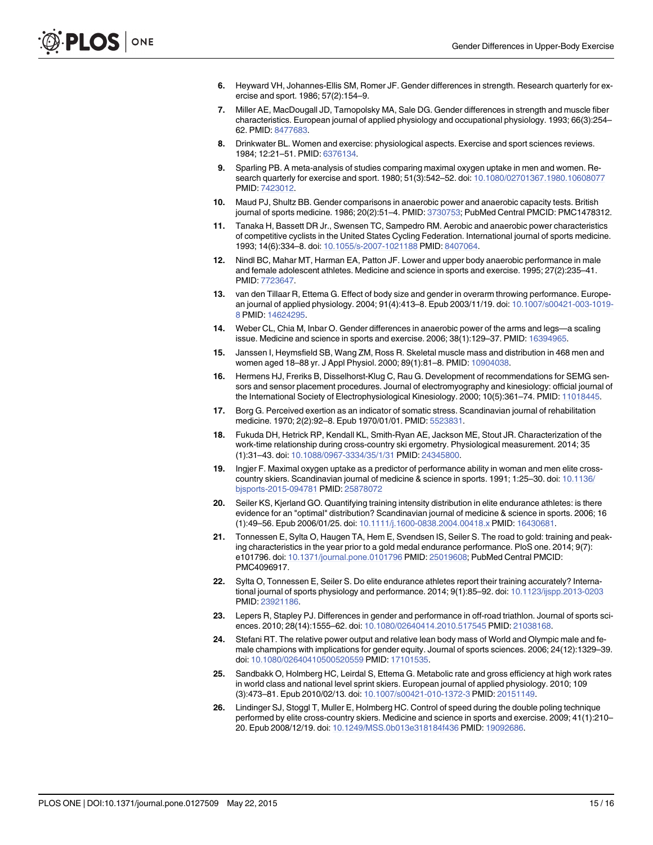- <span id="page-14-0"></span>[6.](#page-1-0) Heyward VH, Johannes-Ellis SM, Romer JF. Gender differences in strength. Research quarterly for exercise and sport. 1986; 57(2):154–9.
- [7.](#page-1-0) Miller AE, MacDougall JD, Tarnopolsky MA, Sale DG. Gender differences in strength and muscle fiber characteristics. European journal of applied physiology and occupational physiology. 1993; 66(3):254– 62. PMID: [8477683](http://www.ncbi.nlm.nih.gov/pubmed/8477683).
- [8.](#page-1-0) Drinkwater BL. Women and exercise: physiological aspects. Exercise and sport sciences reviews. 1984; 12:21–51. PMID: [6376134.](http://www.ncbi.nlm.nih.gov/pubmed/6376134)
- [9.](#page-1-0) Sparling PB. A meta-analysis of studies comparing maximal oxygen uptake in men and women. Research quarterly for exercise and sport. 1980; 51(3):542–52. doi: [10.1080/02701367.1980.10608077](http://dx.doi.org/10.1080/02701367.1980.10608077) PMID: [7423012.](http://www.ncbi.nlm.nih.gov/pubmed/7423012)
- [10.](#page-1-0) Maud PJ, Shultz BB. Gender comparisons in anaerobic power and anaerobic capacity tests. British journal of sports medicine. 1986; 20(2):51-4. PMID: [3730753;](http://www.ncbi.nlm.nih.gov/pubmed/3730753) PubMed Central PMCID: PMC1478312.
- [11.](#page-1-0) Tanaka H, Bassett DR Jr., Swensen TC, Sampedro RM. Aerobic and anaerobic power characteristics of competitive cyclists in the United States Cycling Federation. International journal of sports medicine. 1993; 14(6):334–8. doi: [10.1055/s-2007-1021188](http://dx.doi.org/10.1055/s-2007-1021188) PMID: [8407064](http://www.ncbi.nlm.nih.gov/pubmed/8407064).
- [12.](#page-1-0) Nindl BC, Mahar MT, Harman EA, Patton JF. Lower and upper body anaerobic performance in male and female adolescent athletes. Medicine and science in sports and exercise. 1995; 27(2):235–41. PMID: [7723647.](http://www.ncbi.nlm.nih.gov/pubmed/7723647)
- [13.](#page-12-0) van den Tillaar R, Ettema G. Effect of body size and gender in overarm throwing performance. European journal of applied physiology. 2004; 91(4):413–8. Epub 2003/11/19. doi: [10.1007/s00421-003-1019-](http://dx.doi.org/10.1007/s00421-003-1019-8) [8](http://dx.doi.org/10.1007/s00421-003-1019-8) PMID: [14624295](http://www.ncbi.nlm.nih.gov/pubmed/14624295).
- [14.](#page-1-0) Weber CL, Chia M, Inbar O. Gender differences in anaerobic power of the arms and legs—a scaling issue. Medicine and science in sports and exercise. 2006; 38(1):129–37. PMID: [16394965](http://www.ncbi.nlm.nih.gov/pubmed/16394965).
- [15.](#page-1-0) Janssen I, Heymsfield SB, Wang ZM, Ross R. Skeletal muscle mass and distribution in 468 men and women aged 18–88 yr. J Appl Physiol. 2000; 89(1):81–8. PMID: [10904038](http://www.ncbi.nlm.nih.gov/pubmed/10904038).
- [16.](#page-4-0) Hermens HJ, Freriks B, Disselhorst-Klug C, Rau G. Development of recommendations for SEMG sensors and sensor placement procedures. Journal of electromyography and kinesiology: official journal of the International Society of Electrophysiological Kinesiology. 2000; 10(5):361–74. PMID: [11018445](http://www.ncbi.nlm.nih.gov/pubmed/11018445).
- [17.](#page-5-0) Borg G. Perceived exertion as an indicator of somatic stress. Scandinavian journal of rehabilitation medicine. 1970; 2(2):92-8. Epub 1970/01/01. PMID: 5523831
- [18.](#page-5-0) Fukuda DH, Hetrick RP, Kendall KL, Smith-Ryan AE, Jackson ME, Stout JR. Characterization of the work-time relationship during cross-country ski ergometry. Physiological measurement. 2014; 35 (1):31–43. doi: [10.1088/0967-3334/35/1/31](http://dx.doi.org/10.1088/0967-3334/35/1/31) PMID: [24345800.](http://www.ncbi.nlm.nih.gov/pubmed/24345800)
- [19.](#page-5-0) Ingjer F. Maximal oxygen uptake as a predictor of performance ability in woman and men elite crosscountry skiers. Scandinavian journal of medicine & science in sports. 1991; 1:25–30. doi: [10.1136/](http://dx.doi.org/10.1136/bjsports-2015-094781) [bjsports-2015-094781](http://dx.doi.org/10.1136/bjsports-2015-094781) PMID: [25878072](http://www.ncbi.nlm.nih.gov/pubmed/25878072)
- [20.](#page-6-0) Seiler KS, Kjerland GO. Quantifying training intensity distribution in elite endurance athletes: is there evidence for an "optimal" distribution? Scandinavian journal of medicine & science in sports. 2006; 16 (1):49–56. Epub 2006/01/25. doi: [10.1111/j.1600-0838.2004.00418.x](http://dx.doi.org/10.1111/j.1600-0838.2004.00418.x) PMID: [16430681](http://www.ncbi.nlm.nih.gov/pubmed/16430681).
- [21.](#page-6-0) Tonnessen E, Sylta O, Haugen TA, Hem E, Svendsen IS, Seiler S. The road to gold: training and peaking characteristics in the year prior to a gold medal endurance performance. PloS one. 2014; 9(7): e101796. doi: [10.1371/journal.pone.0101796](http://dx.doi.org/10.1371/journal.pone.0101796) PMID: [25019608](http://www.ncbi.nlm.nih.gov/pubmed/25019608); PubMed Central PMCID: PMC4096917.
- [22.](#page-6-0) Sylta O, Tonnessen E, Seiler S. Do elite endurance athletes report their training accurately? International journal of sports physiology and performance. 2014; 9(1):85–92. doi: [10.1123/ijspp.2013-0203](http://dx.doi.org/10.1123/ijspp.2013-0203) PMID: [23921186.](http://www.ncbi.nlm.nih.gov/pubmed/23921186)
- [23.](#page-11-0) Lepers R, Stapley PJ. Differences in gender and performance in off-road triathlon. Journal of sports sci-ences. 2010; 28(14):1555-62. doi: [10.1080/02640414.2010.517545](http://dx.doi.org/10.1080/02640414.2010.517545) PMID: [21038168.](http://www.ncbi.nlm.nih.gov/pubmed/21038168)
- [24.](#page-11-0) Stefani RT. The relative power output and relative lean body mass of World and Olympic male and female champions with implications for gender equity. Journal of sports sciences. 2006; 24(12):1329–39. doi: [10.1080/02640410500520559](http://dx.doi.org/10.1080/02640410500520559) PMID: [17101535.](http://www.ncbi.nlm.nih.gov/pubmed/17101535)
- [25.](#page-11-0) Sandbakk O, Holmberg HC, Leirdal S, Ettema G. Metabolic rate and gross efficiency at high work rates in world class and national level sprint skiers. European journal of applied physiology. 2010; 109 (3):473–81. Epub 2010/02/13. doi: [10.1007/s00421-010-1372-3](http://dx.doi.org/10.1007/s00421-010-1372-3) PMID: [20151149.](http://www.ncbi.nlm.nih.gov/pubmed/20151149)
- [26.](#page-11-0) Lindinger SJ, Stoggl T, Muller E, Holmberg HC. Control of speed during the double poling technique performed by elite cross-country skiers. Medicine and science in sports and exercise. 2009; 41(1):210– 20. Epub 2008/12/19. doi: [10.1249/MSS.0b013e318184f436](http://dx.doi.org/10.1249/MSS.0b013e318184f436) PMID: [19092686.](http://www.ncbi.nlm.nih.gov/pubmed/19092686)